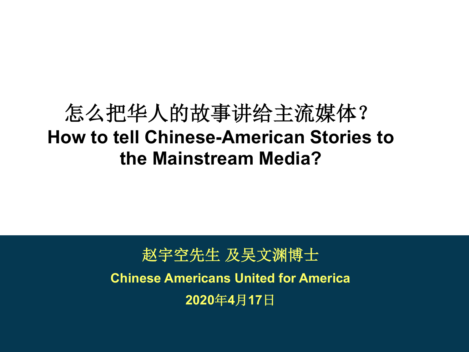## 怎么把华人的故事讲给主流媒体? **How to tell Chinese-American Stories to the Mainstream Media?**

赵宇空先生 及吴文渊博士 **Chinese Americans United for America 2020417**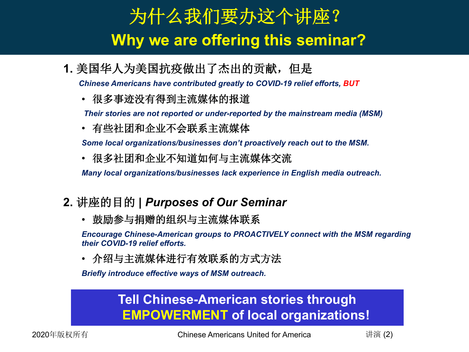## Headline: Schrift Arial 24 pt 24 pt 24 pt 24 pt 24 pt 24 pt 24 pt 24 pt 24 pt 24 pt 24 pt 24 pt 24 pt 24 pt 24 p<br>The Contract Arial 24 pt 24 pt 24 pt 24 pt 24 pt 24 pt 24 pt 24 pt 24 pt 24 pt 24 pt 24 pt 24 pt 24 pt 24 pt 为什么我们要办这个讲座? **Why we are offering this seminar?**

1. 美国华人为美国抗疫做出了杰出的贡献, 但是

*Chinese Americans have contributed greatly to COVID-19 relief efforts, BUT*

• 很多事迹没有得到主流媒体的报道

*Their stories are not reported or under-reported by the mainstream media (MSM)*

• 有些社团和企业不会联系主流媒体

*Some local organizations/businesses don't proactively reach out to the MSM.*

• 很多社团和企业不知道如何与主流媒体交流

*Many local organizations/businesses lack experience in English media outreach.*

- 2. 讲座的目的 | Purposes of Our Seminar
	- 鼓励参与捐赠的组织与主流媒体联系

*Encourage Chinese-American groups to PROACTIVELY connect with the MSM regarding their COVID-19 relief efforts.* 

• 介绍与主流媒体进行有效联系的方式方法

*Briefly introduce effective ways of MSM outreach.* 

## **Tell Chinese-American stories through EMPOWERMENT of local organizations!**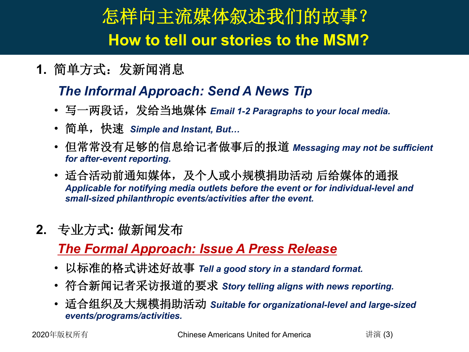## Headline: Schrift Arial 24 pt 24 pt 24 pt 24 pt 24 pt 24 pt 24 pt 24 pt 24 pt 24 pt 24 pt 24 pt 24 pt 24 pt 24<br>Schrift Arial 24 pt 24 pt 24 pt 24 pt 24 pt 24 pt 24 pt 24 pt 24 pt 24 pt 24 pt 24 pt 24 pt 24 pt 24 pt 24 pt 怎样向主流媒体叙述我们的故事? **How to tell our stories to the MSM?**

1. 简单方式: 发新闻消息

## *The Informal Approach: Send A News Tip*

- 写一两段话,发给当地媒体 *Email 1-2 Paragraphs to your local media.*
- 简单,快速 *Simple and Instant, But…*
- 但常常没有足够的信息给记者做事后的报道 Messaging may not be sufficient *for after-event reporting.*
- 适合活动前通知媒体,及个人或小规模捐助活动 后给媒体的通报 *Applicable for notifying media outlets before the event or for individual-level and small-sized philanthropic events/activities after the event.*
- 2. 专业方式: 做新闻发布

## *The Formal Approach: Issue A Press Release*

- 以标准的格式讲述好故事 Tell a good story in a standard format.
- 符合新闻记者采访报道的要求 Story telling aligns with news reporting.
- RFG K90= *Suitable for organizational-level and large-sized events/programs/activities.*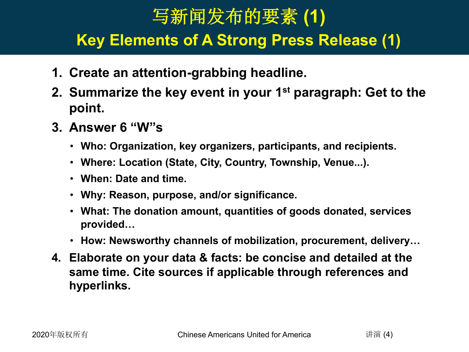## 写新闻发布的要素(1)

#### Headline: Schrift Arial 24 pt Arial 24 pt Arial 24 pt Arial 24 pt Arial 24 pt Arial 24 pt Arial 24 pt Arial 24 pt Arial 24 pt Arial 24 pt Arial 24 pt Arial 24 pt Arial 24 pt Arial 24 pt Arial 24 pt Arial 24 pt Arial 24 pt **Key Elements of A Strong Press Release (1)**

- **1. Create an attention-grabbing headline.**
- **2. Summarize the key event in your 1st paragraph: Get to the point.**
- **3. Answer 6 "W"s** 
	- **Who: Organization, key organizers, participants, and recipients.**
	- **Where: Location (State, City, Country, Township, Venue...).**
	- **When: Date and time.**
	- **Why: Reason, purpose, and/or significance.**
	- **What: The donation amount, quantities of goods donated, services provided…**
	- **How: Newsworthy channels of mobilization, procurement, delivery…**
- **4. Elaborate on your data & facts: be concise and detailed at the same time. Cite sources if applicable through references and hyperlinks.**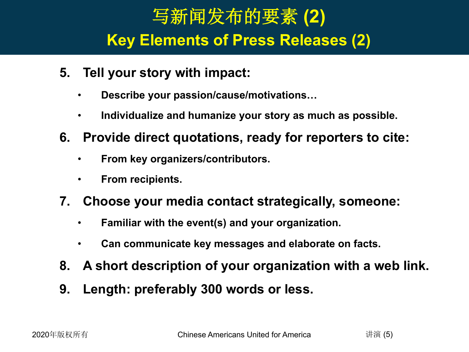## Headline: Schrift Arial 24 pt Schrift Arial 24 pt Schrift Arial 24 pt Schrift Arial 24 pt Schrift Arial 24 pt S<br>Schrift Arial 24 pt Schrift Arial 24 pt Schrift Arial 24 pt Schrift Arial 24 pt Schrift Arial 24 pt Schrift Ar 写新闻发布的要素(2) **Key Elements of Press Releases (2)**

- **5. Tell your story with impact:**
	- **Describe your passion/cause/motivations…**
	- **Individualize and humanize your story as much as possible.**
- **6. Provide direct quotations, ready for reporters to cite:**
	- **From key organizers/contributors.**
	- **From recipients.**
- **7. Choose your media contact strategically, someone:**
	- **Familiar with the event(s) and your organization.**
	- **Can communicate key messages and elaborate on facts.**
- **8. A short description of your organization with a web link.**
- **9. Length: preferably 300 words or less.**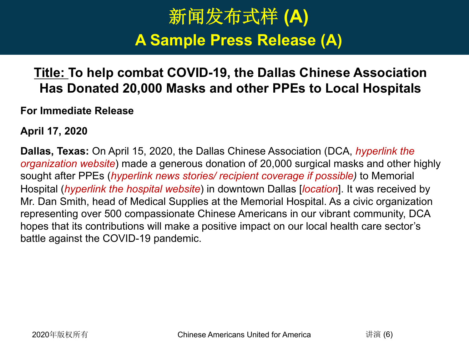## Headline: Schrift Arial 24 pt and Schrift Arial 24 pt and Schrift Arial 24 pt and Schrift Arial 24 pt and Schrift Arial 24 pt and Schrift Arial 24 pt and Schrift Arial 24 pt and Schrift Arial 24 pt and Schrift Arial 24 pt 新闻发布式样(A) **A Sample Press Release (A)**

## **Title: To help combat COVID-19, the Dallas Chinese Association Has Donated 20,000 Masks and other PPEs to Local Hospitals**

**For Immediate Release**

**April 17, 2020**

**Dallas, Texas:** On April 15, 2020, the Dallas Chinese Association (DCA, *hyperlink the organization website*) made a generous donation of 20,000 surgical masks and other highly sought after PPEs (*hyperlink news stories/ recipient coverage if possible)* to Memorial Hospital (*hyperlink the hospital website*) in downtown Dallas [*location*]. It was received by Mr. Dan Smith, head of Medical Supplies at the Memorial Hospital. As a civic organization representing over 500 compassionate Chinese Americans in our vibrant community, DCA hopes that its contributions will make a positive impact on our local health care sector's battle against the COVID-19 pandemic.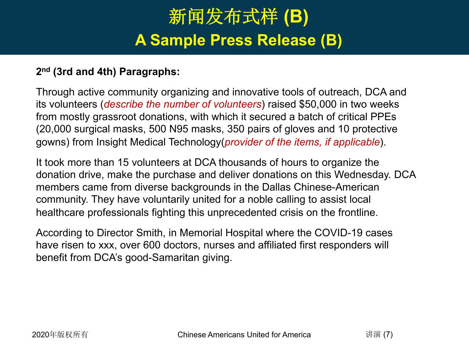## Headline: Schrift Arial 24 pt and Schrift Arial 24 pt and Schrift Arial 24 pt and Schrift Arial 24 pt and Schrift Arial 24 pt and Schrift Arial 24 pt and Schrift Arial 24 pt and Schrift Arial 24 pt and Schrift Arial 24 pt 新闻发布式样(B) **A Sample Press Release (B)**

#### **2nd (3rd and 4th) Paragraphs:**

Through active community organizing and innovative tools of outreach, DCA and its volunteers (*describe the number of volunteers*) raised \$50,000 in two weeks from mostly grassroot donations, with which it secured a batch of critical PPEs (20,000 surgical masks, 500 N95 masks, 350 pairs of gloves and 10 protective gowns) from Insight Medical Technology(*provider of the items, if applicable*).

It took more than 15 volunteers at DCA thousands of hours to organize the donation drive, make the purchase and deliver donations on this Wednesday. DCA members came from diverse backgrounds in the Dallas Chinese-American community. They have voluntarily united for a noble calling to assist local healthcare professionals fighting this unprecedented crisis on the frontline.

According to Director Smith, in Memorial Hospital where the COVID-19 cases have risen to xxx, over 600 doctors, nurses and affiliated first responders will benefit from DCA's good-Samaritan giving.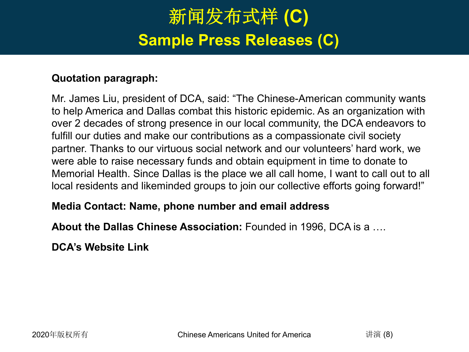## Headline: Schrift Arial 24 pt 24 pt 24 pt 24 pt 24 pt 24 pt 24 pt 24 pt 24 pt 24 pt 24 pt 24 pt 24 pt 24 pt 24<br>The Contract Arial 24 pt 24 pt 24 pt 24 pt 24 pt 24 pt 24 pt 24 pt 24 pt 24 pt 24 pt 24 pt 24 pt 24 pt 24 pt 2 新闻发布式样(C) **Sample Press Releases (C)**

#### **Quotation paragraph:**

Mr. James Liu, president of DCA, said: "The Chinese-American community wants to help America and Dallas combat this historic epidemic. As an organization with over 2 decades of strong presence in our local community, the DCA endeavors to fulfill our duties and make our contributions as a compassionate civil society partner. Thanks to our virtuous social network and our volunteers' hard work, we were able to raise necessary funds and obtain equipment in time to donate to Memorial Health. Since Dallas is the place we all call home, I want to call out to all local residents and likeminded groups to join our collective efforts going forward!"

#### **Media Contact: Name, phone number and email address**

**About the Dallas Chinese Association:** Founded in 1996, DCA is a ….

**DCA's Website Link**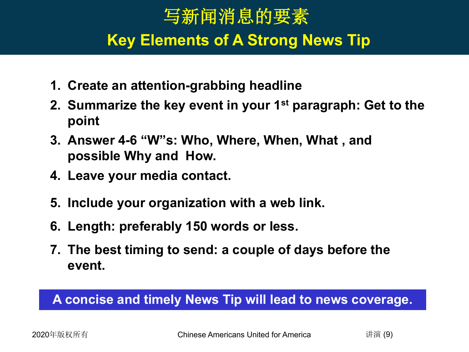### Headline: Schrift Arial 24 pt Schrift Arial 24 pt Schrift Arial 24 pt Schrift Arial 24 pt Schrift Arial 24 pt S<br>Schrift Arial 24 pt Schrift Arial 24 pt Schrift Arial 24 pt Schrift Arial 24 pt Schrift Arial 24 pt Schrift Ar 写新闻消息的要素 **Key Elements of A Strong News Tip**

- **1. Create an attention-grabbing headline**
- **2. Summarize the key event in your 1st paragraph: Get to the point**
- **3. Answer 4-6 "W"s: Who, Where, When, What , and possible Why and How.**
- **4. Leave your media contact.**
- **5. Include your organization with a web link.**
- **6. Length: preferably 150 words or less.**
- **7. The best timing to send: a couple of days before the event.**

## **A concise and timely News Tip will lead to news coverage.**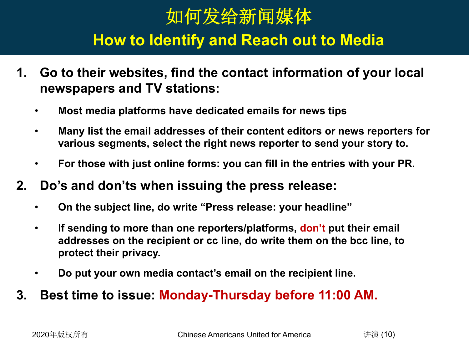# 如何发给新闻媒体

#### Headline: Schrift Arial 24 pt Schrift Arial 24 pt Schrift Arial 24 pt Schrift Arial 24 pt Schrift Arial 24 pt S<br>Experimental 24 pt Schrift Arial 24 pt Schrift Arial 24 pt Schrift Arial 24 pt Schrift Arial 24 pt Schrift Ari **How to Identify and Reach out to Media**

- **1. Go to their websites, find the contact information of your local newspapers and TV stations:**
	- **Most media platforms have dedicated emails for news tips**
	- **Many list the email addresses of their content editors or news reporters for various segments, select the right news reporter to send your story to.**
	- **For those with just online forms: you can fill in the entries with your PR.**
- **2. Do's and don'ts when issuing the press release:**
	- **On the subject line, do write "Press release: your headline"**
	- **If sending to more than one reporters/platforms, don't put their email addresses on the recipient or cc line, do write them on the bcc line, to protect their privacy.**
	- **Do put your own media contact's email on the recipient line.**
- **3. Best time to issue: Monday-Thursday before 11:00 AM.**